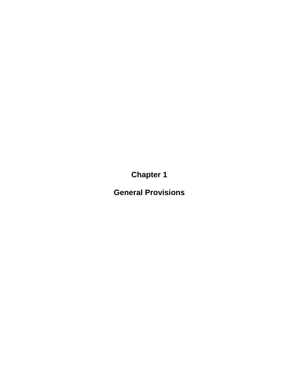**Chapter 1**

**General Provisions**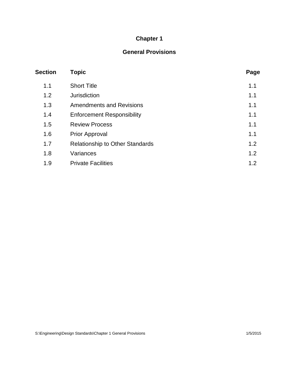# **Chapter 1**

## **General Provisions**

| <b>Section</b> | Topic                                  | Page |
|----------------|----------------------------------------|------|
| 1.1            | <b>Short Title</b>                     | 1.1  |
| 1.2            | <b>Jurisdiction</b>                    | 1.1  |
| 1.3            | <b>Amendments and Revisions</b>        | 1.1  |
| 1.4            | <b>Enforcement Responsibility</b>      | 1.1  |
| 1.5            | <b>Review Process</b>                  | 1.1  |
| 1.6            | <b>Prior Approval</b>                  | 1.1  |
| 1.7            | <b>Relationship to Other Standards</b> | 1.2  |
| 1.8            | Variances                              | 1.2  |
| 1.9            | <b>Private Facilities</b>              | 1.2  |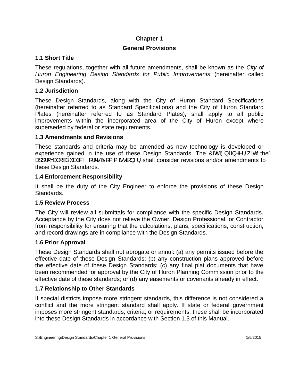### **Chapter 1**

## **General Provisions**

### **1.1 Short Title**

These regulations, together with all future amendments, shall be known as the *City of Huron Engineering Design Standards for Public Improvements* (hereinafter called Design Standards).

### **1.2 Jurisdiction**

These Design Standards, along with the City of Huron Standard Specifications (hereinafter referred to as Standard Specifications) and the City of Huron Standard Plates (hereinafter referred to as Standard Plates), shall apply to all public improvements within the incorporated area of the City of Huron except where superseded by federal or state requirements.

#### **1.3 Amendments and Revisions**

These standards and criteria may be amended as new technology is developed or experience gained in the use of these Design Standards. The  $\hat{\mathcal{O}}\tilde{\mathbf{x}}$   $\hat{\mathcal{A}}$ ,  $\hat{\mathcal{O}}$ ,  $\hat{\mathbf{x}}$  and  $\hat{\mathcal{O}}$  the  $\hat{\mathcal{A}}$  $\mathbf{B}$ ]  $\mathbf{B}$  (ca)  $\mathbf{A}$   $\mathbf{B}$   $\mathbf{A}$  and  $\mathbf{B}$   $\mathbf{A}$   $\mathbf{C}$   $\mathbf{C}$   $\mathbf{A}$   $\mathbf{C}$   $\mathbf{A}$   $\mathbf{C}$   $\mathbf{A}$   $\mathbf{C}$   $\mathbf{A}$   $\mathbf{C}$   $\mathbf{A}$   $\mathbf{C}$   $\mathbf{A}$   $\mathbf{C}$   $\mathbf{A}$   $\mathbf{A}$   $\mathbf$ these Design Standards.

### **1.4 Enforcement Responsibility**

It shall be the duty of the City Engineer to enforce the provisions of these Design Standards.

### **1.5 Review Process**

The City will review all submittals for compliance with the specific Design Standards. Acceptance by the City does not relieve the Owner, Design Professional, or Contractor from responsibility for ensuring that the calculations, plans, specifications, construction, and record drawings are in compliance with the Design Standards.

### **1.6 Prior Approval**

These Design Standards shall not abrogate or annul: (a) any permits issued before the effective date of these Design Standards; (b) any construction plans approved before the effective date of these Design Standards; (c) any final plat documents that have been recommended for approval by the City of Huron Planning Commission prior to the effective date of these standards; or (d) any easements or covenants already in effect.

### **1.7 Relationship to Other Standards**

If special districts impose more stringent standards, this difference is not considered a conflict and the more stringent standard shall apply. If state or federal government imposes more stringent standards, criteria, or requirements, these shall be incorporated into these Design Standards in accordance with Section 1.3 of this Manual.